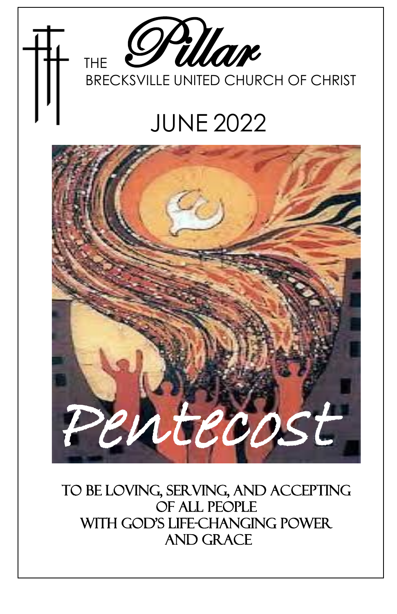

## JUNE 2022



To Be Loving, Serving, and Accepting Of All People with God's Life-Changing power and Grace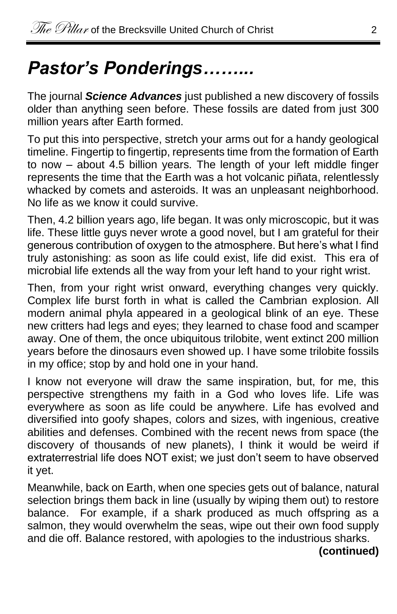## *Pastor's Ponderings……...*

The journal *Science Advances* just published a new discovery of fossils older than anything seen before. These fossils are dated from just 300 million years after Earth formed.

To put this into perspective, stretch your arms out for a handy geological timeline. Fingertip to fingertip, represents time from the formation of Earth to now – about 4.5 billion years. The length of your left middle finger represents the time that the Earth was a hot volcanic piñata, relentlessly whacked by comets and asteroids. It was an unpleasant neighborhood. No life as we know it could survive.

Then, 4.2 billion years ago, life began. It was only microscopic, but it was life. These little guys never wrote a good novel, but I am grateful for their generous contribution of oxygen to the atmosphere. But here's what I find truly astonishing: as soon as life could exist, life did exist. This era of microbial life extends all the way from your left hand to your right wrist.

Then, from your right wrist onward, everything changes very quickly. Complex life burst forth in what is called the Cambrian explosion. All modern animal phyla appeared in a geological blink of an eye. These new critters had legs and eyes; they learned to chase food and scamper away. One of them, the once ubiquitous trilobite, went extinct 200 million years before the dinosaurs even showed up. I have some trilobite fossils in my office; stop by and hold one in your hand.

I know not everyone will draw the same inspiration, but, for me, this perspective strengthens my faith in a God who loves life. Life was everywhere as soon as life could be anywhere. Life has evolved and diversified into goofy shapes, colors and sizes, with ingenious, creative abilities and defenses. Combined with the recent news from space (the discovery of thousands of new planets), I think it would be weird if extraterrestrial life does NOT exist; we just don't seem to have observed it yet.

Meanwhile, back on Earth, when one species gets out of balance, natural selection brings them back in line (usually by wiping them out) to restore balance. For example, if a shark produced as much offspring as a salmon, they would overwhelm the seas, wipe out their own food supply and die off. Balance restored, with apologies to the industrious sharks.

**(continued)**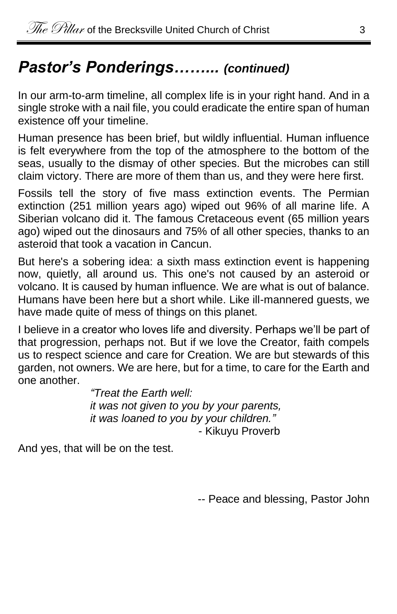#### *Pastor's Ponderings……... (continued)*

In our arm-to-arm timeline, all complex life is in your right hand. And in a single stroke with a nail file, you could eradicate the entire span of human existence off your timeline.

Human presence has been brief, but wildly influential. Human influence is felt everywhere from the top of the atmosphere to the bottom of the seas, usually to the dismay of other species. But the microbes can still claim victory. There are more of them than us, and they were here first.

Fossils tell the story of five mass extinction events. The Permian extinction (251 million years ago) wiped out 96% of all marine life. A Siberian volcano did it. The famous Cretaceous event (65 million years ago) wiped out the dinosaurs and 75% of all other species, thanks to an asteroid that took a vacation in Cancun.

But here's a sobering idea: a sixth mass extinction event is happening now, quietly, all around us. This one's not caused by an asteroid or volcano. It is caused by human influence. We are what is out of balance. Humans have been here but a short while. Like ill-mannered guests, we have made quite of mess of things on this planet.

I believe in a creator who loves life and diversity. Perhaps we'll be part of that progression, perhaps not. But if we love the Creator, faith compels us to respect science and care for Creation. We are but stewards of this garden, not owners. We are here, but for a time, to care for the Earth and one another.

*"Treat the Earth well: it was not given to you by your parents, it was loaned to you by your children."* - Kikuyu Proverb

And yes, that will be on the test.

-- Peace and blessing, Pastor John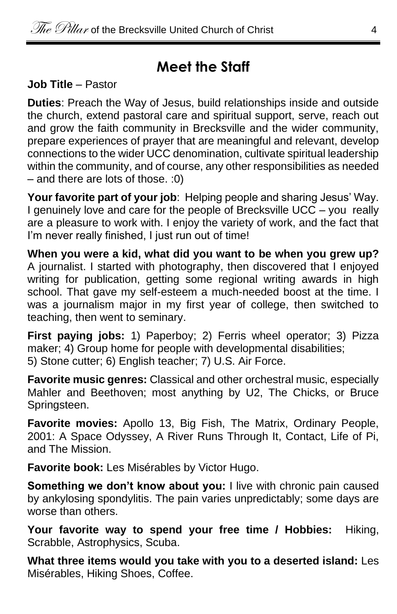#### **Meet the Staff**

**Job Title** – Pastor

**Duties**: Preach the Way of Jesus, build relationships inside and outside the church, extend pastoral care and spiritual support, serve, reach out and grow the faith community in Brecksville and the wider community, prepare experiences of prayer that are meaningful and relevant, develop connections to the wider UCC denomination, cultivate spiritual leadership within the community, and of course, any other responsibilities as needed – and there are lots of those. :0)

**Your favorite part of your job**: Helping people and sharing Jesus' Way. I genuinely love and care for the people of Brecksville UCC – you really are a pleasure to work with. I enjoy the variety of work, and the fact that I'm never really finished. I just run out of time!

**When you were a kid, what did you want to be when you grew up?** A journalist. I started with photography, then discovered that I enjoyed writing for publication, getting some regional writing awards in high school. That gave my self-esteem a much-needed boost at the time. I was a journalism major in my first year of college, then switched to teaching, then went to seminary.

**First paying jobs:** 1) Paperboy; 2) Ferris wheel operator; 3) Pizza maker; 4) Group home for people with developmental disabilities; 5) Stone cutter; 6) English teacher; 7) U.S. Air Force.

**Favorite music genres:** Classical and other orchestral music, especially Mahler and Beethoven; most anything by U2, The Chicks, or Bruce Springsteen.

**Favorite movies:** Apollo 13, Big Fish, The Matrix, Ordinary People, 2001: A Space Odyssey, A River Runs Through It, Contact, Life of Pi, and The Mission.

**Favorite book:** Les Misérables by Victor Hugo.

**Something we don't know about you:** I live with chronic pain caused by ankylosing spondylitis. The pain varies unpredictably; some days are worse than others.

**Your favorite way to spend your free time / Hobbies:** Hiking, Scrabble, Astrophysics, Scuba.

**What three items would you take with you to a deserted island:** Les Misérables, Hiking Shoes, Coffee.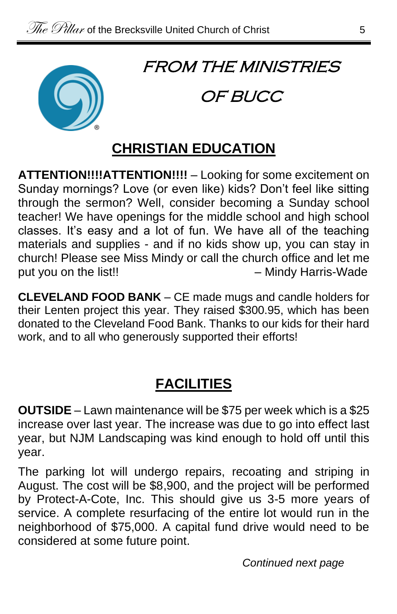

### FROM THE MINISTRIES

#### OF BUCC

#### **CHRISTIAN EDUCATION**

**ATTENTION!!!!ATTENTION!!!!** – Looking for some excitement on Sunday mornings? Love (or even like) kids? Don't feel like sitting through the sermon? Well, consider becoming a Sunday school teacher! We have openings for the middle school and high school classes. It's easy and a lot of fun. We have all of the teaching materials and supplies - and if no kids show up, you can stay in church! Please see Miss Mindy or call the church office and let me put you on the list!! – The manufacture of the Mindy Harris-Wade

**CLEVELAND FOOD BANK** – CE made mugs and candle holders for their Lenten project this year. They raised \$300.95, which has been donated to the Cleveland Food Bank. Thanks to our kids for their hard work, and to all who generously supported their efforts!

#### **FACILITIES**

**OUTSIDE** – Lawn maintenance will be \$75 per week which is a \$25 increase over last year. The increase was due to go into effect last year, but NJM Landscaping was kind enough to hold off until this year.

The parking lot will undergo repairs, recoating and striping in August. The cost will be \$8,900, and the project will be performed by Protect-A-Cote, Inc. This should give us 3-5 more years of service. A complete resurfacing of the entire lot would run in the neighborhood of \$75,000. A capital fund drive would need to be considered at some future point.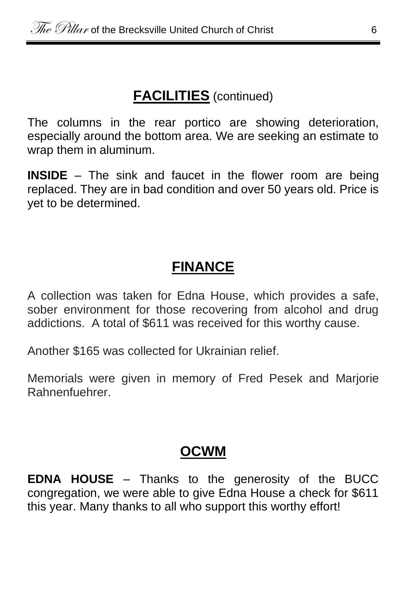#### **FACILITIES** (continued)

The columns in the rear portico are showing deterioration, especially around the bottom area. We are seeking an estimate to wrap them in aluminum.

**INSIDE** – The sink and faucet in the flower room are being replaced. They are in bad condition and over 50 years old. Price is yet to be determined.

#### **FINANCE**

A collection was taken for Edna House, which provides a safe, sober environment for those recovering from alcohol and drug addictions. A total of \$611 was received for this worthy cause.

Another \$165 was collected for Ukrainian relief.

Memorials were given in memory of Fred Pesek and Marjorie Rahnenfuehrer.

#### **OCWM**

**EDNA HOUSE** – Thanks to the generosity of the BUCC congregation, we were able to give Edna House a check for \$611 this year. Many thanks to all who support this worthy effort!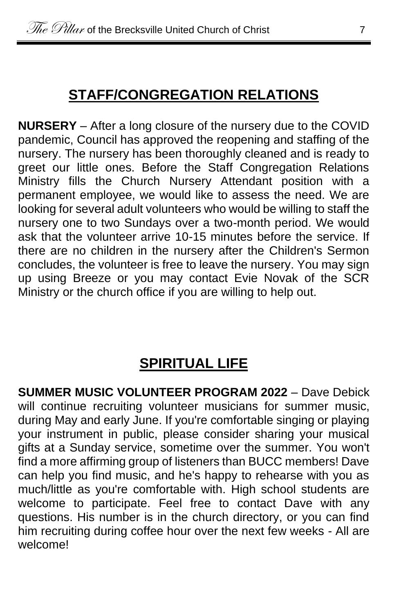#### **STAFF/CONGREGATION RELATIONS**

**NURSERY** – After a long closure of the nursery due to the COVID pandemic, Council has approved the reopening and staffing of the nursery. The nursery has been thoroughly cleaned and is ready to greet our little ones. Before the Staff Congregation Relations Ministry fills the Church Nursery Attendant position with a permanent employee, we would like to assess the need. We are looking for several adult volunteers who would be willing to staff the nursery one to two Sundays over a two-month period. We would ask that the volunteer arrive 10-15 minutes before the service. If there are no children in the nursery after the Children's Sermon concludes, the volunteer is free to leave the nursery. You may sign up using Breeze or you may contact Evie Novak of the SCR Ministry or the church office if you are willing to help out.

#### **SPIRITUAL LIFE**

**SUMMER MUSIC VOLUNTEER PROGRAM 2022** – Dave Debick will continue recruiting volunteer musicians for summer music, during May and early June. If you're comfortable singing or playing your instrument in public, please consider sharing your musical gifts at a Sunday service, sometime over the summer. You won't find a more affirming group of listeners than BUCC members! Dave can help you find music, and he's happy to rehearse with you as much/little as you're comfortable with. High school students are welcome to participate. Feel free to contact Dave with any questions. His number is in the church directory, or you can find him recruiting during coffee hour over the next few weeks - All are welcome!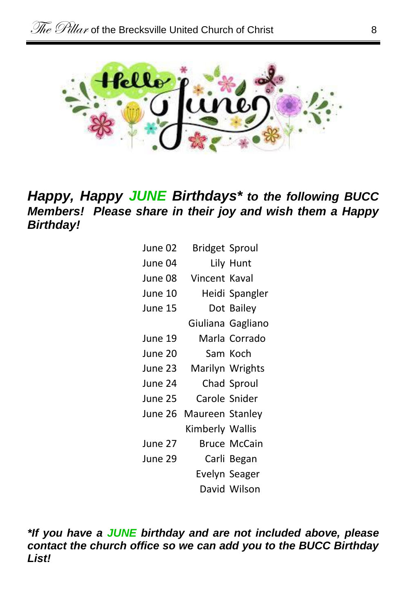

#### *Happy, Happy JUNE Birthdays\* to the following BUCC Members! Please share in their joy and wish them a Happy Birthday!*

| June 02 | Bridget Sproul  |                   |  |
|---------|-----------------|-------------------|--|
| June 04 |                 | Lily Hunt         |  |
| June 08 | Vincent Kaval   |                   |  |
| June 10 |                 | Heidi Spangler    |  |
| June 15 |                 | Dot Bailey        |  |
|         |                 | Giuliana Gagliano |  |
| June 19 |                 | Marla Corrado     |  |
| June 20 |                 | Sam Koch          |  |
| June 23 |                 | Marilyn Wrights   |  |
| June 24 |                 | Chad Sproul       |  |
| June 25 |                 | Carole Snider     |  |
| June 26 | Maureen Stanley |                   |  |
|         | Kimberly Wallis |                   |  |
| June 27 |                 | Bruce McCain      |  |
| June 29 |                 | Carli Began       |  |
|         |                 | Evelyn Seager     |  |
|         |                 | David Wilson      |  |

*\*If you have a JUNE birthday and are not included above, please contact the church office so we can add you to the BUCC Birthday List!*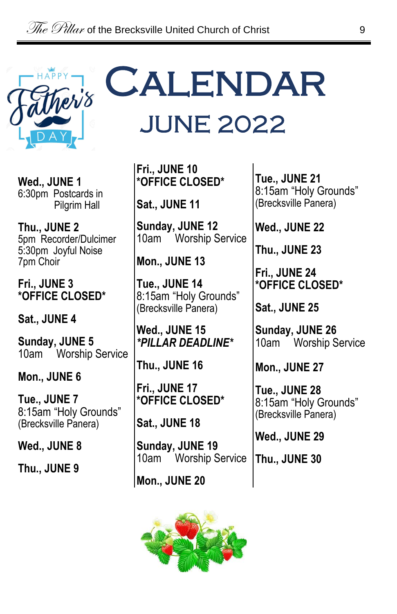

**Wed., JUNE 1** 6:30pm Postcards in Pilgrim Hall

**Thu., JUNE 2** 5pm Recorder/Dulcimer 5:30pm Joyful Noise 7pm Choir

**Fri., JUNE 3 \*OFFICE CLOSED\***

**Sat., JUNE 4**

**Sunday, JUNE 5** 10am Worship Service

**Mon., JUNE 6**

**Tue., JUNE 7** 8:15am "Holy Grounds" (Brecksville Panera)

**Wed., JUNE 8**

**Thu., JUNE 9**

# **CALENDAR** JUNE 2022

**Fri., JUNE 10 \*OFFICE CLOSED\***

**Sat., JUNE 11**

**Sunday, JUNE 12** 10am Worship Service

**Mon., JUNE 13**

**Tue., JUNE 14** 8:15am "Holy Grounds" (Brecksville Panera)

**Wed., JUNE 15** *\*PILLAR DEADLINE\**

**Thu., JUNE 16**

**Fri., JUNE 17 \*OFFICE CLOSED\***

**Sat., JUNE 18**

**Sunday, JUNE 19** 10am Worship Service

**Mon., JUNE 20**



**Tue., JUNE 21** 8:15am "Holy Grounds" (Brecksville Panera)

**Wed., JUNE 22**

**Thu., JUNE 23**

**Fri., JUNE 24 \*OFFICE CLOSED\***

**Sat., JUNE 25**

**Sunday, JUNE 26** 10am Worship Service

**Mon., JUNE 27**

**Tue., JUNE 28** 8:15am "Holy Grounds" (Brecksville Panera)

**Wed., JUNE 29**

**Thu., JUNE 30**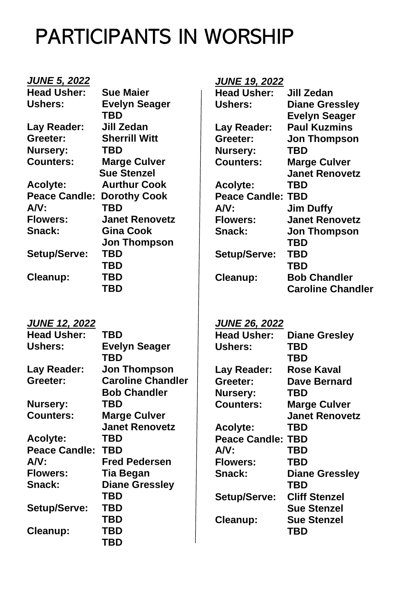## PARTICIPANTS IN WORSHIP

| <b>JUNE 5, 2022</b>               |                          | <b>JUNE 19, 2022</b>     |                          |
|-----------------------------------|--------------------------|--------------------------|--------------------------|
| <b>Head Usher:</b>                | <b>Sue Maier</b>         | <b>Head Usher:</b>       | Jill Zedan               |
| Ushers:                           | <b>Evelyn Seager</b>     | Ushers:                  | <b>Diane Gressley</b>    |
|                                   | TBD                      |                          | <b>Evelyn Seager</b>     |
| Lay Reader:                       | Jill Zedan               | Lay Reader:              | <b>Paul Kuzmins</b>      |
| Greeter:                          | <b>Sherrill Witt</b>     | Greeter:                 | <b>Jon Thompson</b>      |
| Nursery:                          | TBD                      | Nursery:                 | TBD                      |
| <b>Counters:</b>                  | <b>Marge Culver</b>      | <b>Counters:</b>         | <b>Marge Culver</b>      |
|                                   | <b>Sue Stenzel</b>       |                          | <b>Janet Renovetz</b>    |
| Acolyte:                          | <b>Aurthur Cook</b>      | Acolyte:                 | TBD                      |
| <b>Peace Candle: Dorothy Cook</b> |                          | <b>Peace Candle: TBD</b> |                          |
| AV:                               | TBD                      | AV:                      | <b>Jim Duffy</b>         |
| <b>Flowers:</b>                   | <b>Janet Renovetz</b>    | <b>Flowers:</b>          | <b>Janet Renovetz</b>    |
| Snack:                            | <b>Gina Cook</b>         | Snack:                   | Jon Thompson             |
|                                   | <b>Jon Thompson</b>      |                          | TBD                      |
| Setup/Serve:                      | <b>TBD</b>               | Setup/Serve:             | <b>TBD</b>               |
|                                   | <b>TBD</b>               |                          | <b>TBD</b>               |
| Cleanup:                          | <b>TBD</b>               | Cleanup:                 | <b>Bob Chandler</b>      |
|                                   | TBD                      |                          | <b>Caroline Chandler</b> |
|                                   |                          |                          |                          |
| <b>JUNE 12, 2022</b>              |                          | <b>JUNE 26, 2022</b>     |                          |
| <b>Head Usher:</b>                | TBD                      | <b>Head Usher:</b>       | <b>Diane Gresley</b>     |
| Ushers:                           | <b>Evelyn Seager</b>     | Ushers:                  | TBD                      |
|                                   | TBD                      |                          | TBD                      |
| Lay Reader:                       | <b>Jon Thompson</b>      | Lay Reader:              | <b>Rose Kaval</b>        |
| Greeter:                          | <b>Caroline Chandler</b> | Greeter:                 | <b>Dave Bernard</b>      |
|                                   | <b>Bob Chandler</b>      | Nursery:                 | TBD                      |
| Nursery:                          | TBD                      | <b>Counters:</b>         | <b>Marge Culver</b>      |
| <b>Counters:</b>                  | <b>Marge Culver</b>      |                          | <b>Janet Renovetz</b>    |
|                                   | <b>Janet Renovetz</b>    | Acolyte:                 | TBD                      |
| Acolyte:                          | TBD                      | <b>Peace Candle: TBD</b> |                          |
| <b>Peace Candle:</b>              | <b>TBD</b>               | AV:                      | <b>TBD</b>               |
| AV:                               | <b>Fred Pedersen</b>     | <b>Flowers:</b>          | TBD                      |
| <b>Flowers:</b>                   | <b>Tia Began</b>         | Snack:                   | <b>Diane Gressley</b>    |
| Snack:                            | <b>Diane Gressley</b>    |                          | TBD                      |
|                                   | <b>TBD</b>               | Setup/Serve:             | <b>Cliff Stenzel</b>     |
| Setup/Serve:                      | TBD                      |                          | <b>Sue Stenzel</b>       |
|                                   | <b>TBD</b>               | Cleanup:                 | <b>Sue Stenzel</b>       |
| Cleanup:                          | TBD                      |                          | TBD                      |
|                                   | <b>TBD</b>               |                          |                          |